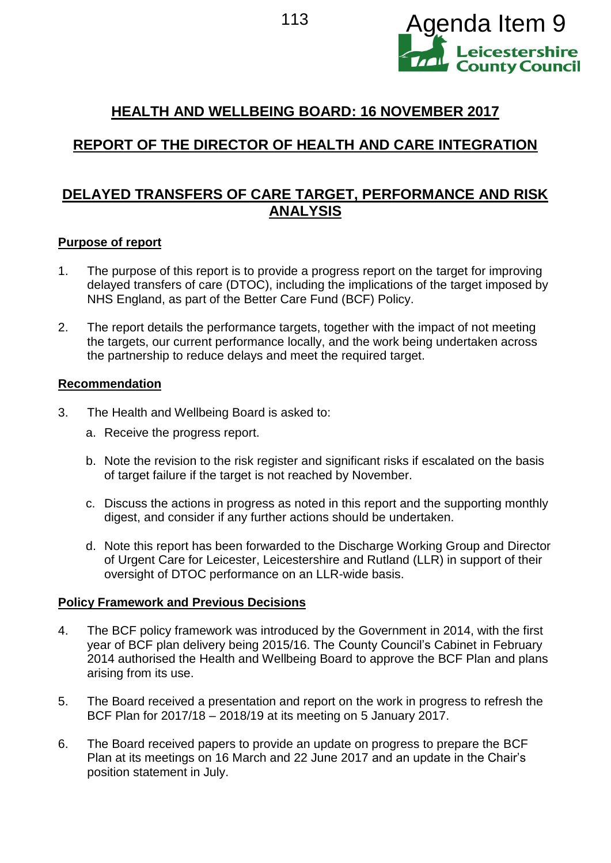

## **HEALTH AND WELLBEING BOARD: 16 NOVEMBER 2017**

# **REPORT OF THE DIRECTOR OF HEALTH AND CARE INTEGRATION**

## **DELAYED TRANSFERS OF CARE TARGET, PERFORMANCE AND RISK ANALYSIS**

#### **Purpose of report**

- 1. The purpose of this report is to provide a progress report on the target for improving delayed transfers of care (DTOC), including the implications of the target imposed by NHS England, as part of the Better Care Fund (BCF) Policy.
- 2. The report details the performance targets, together with the impact of not meeting the targets, our current performance locally, and the work being undertaken across the partnership to reduce delays and meet the required target.

#### **Recommendation**

- 3. The Health and Wellbeing Board is asked to:
	- a. Receive the progress report.
	- b. Note the revision to the risk register and significant risks if escalated on the basis of target failure if the target is not reached by November.
	- c. Discuss the actions in progress as noted in this report and the supporting monthly digest, and consider if any further actions should be undertaken.
	- d. Note this report has been forwarded to the Discharge Working Group and Director of Urgent Care for Leicester, Leicestershire and Rutland (LLR) in support of their oversight of DTOC performance on an LLR-wide basis.

#### **Policy Framework and Previous Decisions**

- 4. The BCF policy framework was introduced by the Government in 2014, with the first year of BCF plan delivery being 2015/16. The County Council's Cabinet in February 2014 authorised the Health and Wellbeing Board to approve the BCF Plan and plans arising from its use.
- 5. The Board received a presentation and report on the work in progress to refresh the BCF Plan for 2017/18 – 2018/19 at its meeting on 5 January 2017.
- 6. The Board received papers to provide an update on progress to prepare the BCF Plan at its meetings on 16 March and 22 June 2017 and an update in the Chair's position statement in July.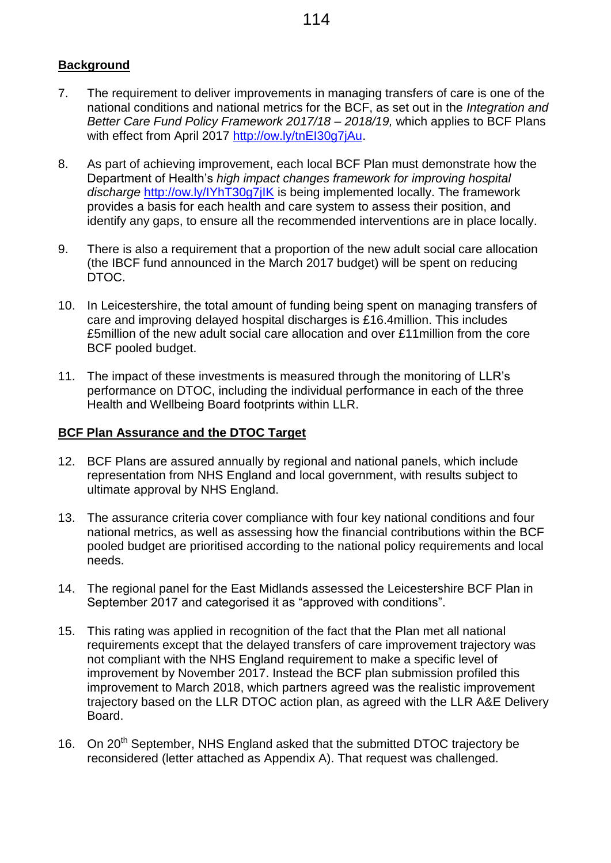## **Background**

- 7. The requirement to deliver improvements in managing transfers of care is one of the national conditions and national metrics for the BCF, as set out in the *Integration and Better Care Fund Policy Framework 2017/18 – 2018/19,* which applies to BCF Plans with effect from April 2017 [http://ow.ly/tnEI30g7jAu.](http://ow.ly/tnEI30g7jAu)
- 8. As part of achieving improvement, each local BCF Plan must demonstrate how the Department of Health's *high impact changes framework for improving hospital discharge* <http://ow.ly/IYhT30g7jIK> is being implemented locally. The framework provides a basis for each health and care system to assess their position, and identify any gaps, to ensure all the recommended interventions are in place locally.
- 9. There is also a requirement that a proportion of the new adult social care allocation (the IBCF fund announced in the March 2017 budget) will be spent on reducing DTOC.
- 10. In Leicestershire, the total amount of funding being spent on managing transfers of care and improving delayed hospital discharges is £16.4million. This includes £5million of the new adult social care allocation and over £11million from the core BCF pooled budget.
- 11. The impact of these investments is measured through the monitoring of LLR's performance on DTOC, including the individual performance in each of the three Health and Wellbeing Board footprints within LLR.

#### **BCF Plan Assurance and the DTOC Target**

- 12. BCF Plans are assured annually by regional and national panels, which include representation from NHS England and local government, with results subject to ultimate approval by NHS England.
- 13. The assurance criteria cover compliance with four key national conditions and four national metrics, as well as assessing how the financial contributions within the BCF pooled budget are prioritised according to the national policy requirements and local needs.
- 14. The regional panel for the East Midlands assessed the Leicestershire BCF Plan in September 2017 and categorised it as "approved with conditions".
- 15. This rating was applied in recognition of the fact that the Plan met all national requirements except that the delayed transfers of care improvement trajectory was not compliant with the NHS England requirement to make a specific level of improvement by November 2017. Instead the BCF plan submission profiled this improvement to March 2018, which partners agreed was the realistic improvement trajectory based on the LLR DTOC action plan, as agreed with the LLR A&E Delivery Board.
- 16. On 20<sup>th</sup> September, NHS England asked that the submitted DTOC trajectory be reconsidered (letter attached as Appendix A). That request was challenged.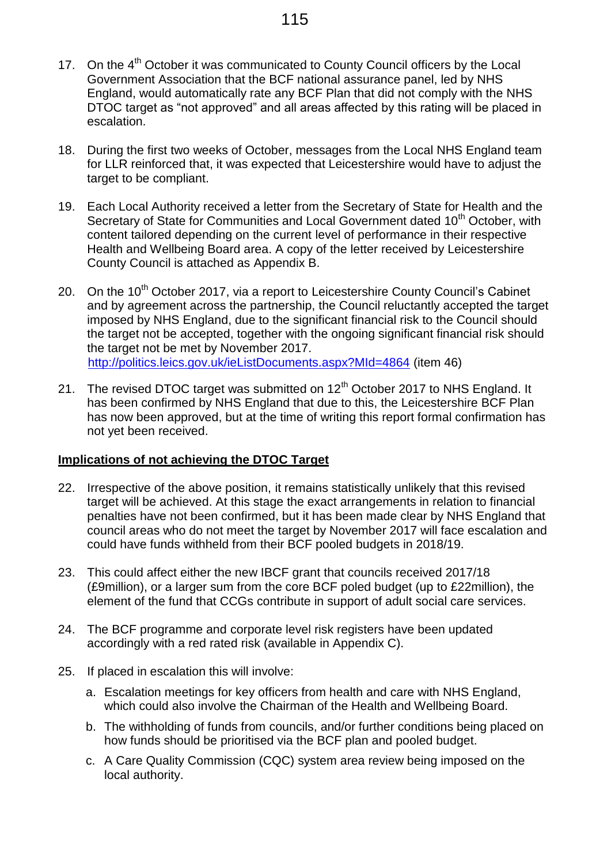- 17. On the 4<sup>th</sup> October it was communicated to County Council officers by the Local Government Association that the BCF national assurance panel, led by NHS England, would automatically rate any BCF Plan that did not comply with the NHS DTOC target as "not approved" and all areas affected by this rating will be placed in escalation.
- 18. During the first two weeks of October, messages from the Local NHS England team for LLR reinforced that, it was expected that Leicestershire would have to adjust the target to be compliant.
- 19. Each Local Authority received a letter from the Secretary of State for Health and the Secretary of State for Communities and Local Government dated 10<sup>th</sup> October, with content tailored depending on the current level of performance in their respective Health and Wellbeing Board area. A copy of the letter received by Leicestershire County Council is attached as Appendix B.
- 20. On the 10<sup>th</sup> October 2017, via a report to Leicestershire County Council's Cabinet and by agreement across the partnership, the Council reluctantly accepted the target imposed by NHS England, due to the significant financial risk to the Council should the target not be accepted, together with the ongoing significant financial risk should the target not be met by November 2017. <http://politics.leics.gov.uk/ieListDocuments.aspx?MId=4864> (item 46)
- 21. The revised DTOC target was submitted on  $12<sup>th</sup>$  October 2017 to NHS England. It has been confirmed by NHS England that due to this, the Leicestershire BCF Plan has now been approved, but at the time of writing this report formal confirmation has not yet been received.

#### **Implications of not achieving the DTOC Target**

- 22. Irrespective of the above position, it remains statistically unlikely that this revised target will be achieved. At this stage the exact arrangements in relation to financial penalties have not been confirmed, but it has been made clear by NHS England that council areas who do not meet the target by November 2017 will face escalation and could have funds withheld from their BCF pooled budgets in 2018/19.
- 23. This could affect either the new IBCF grant that councils received 2017/18 (£9million), or a larger sum from the core BCF poled budget (up to £22million), the element of the fund that CCGs contribute in support of adult social care services.
- 24. The BCF programme and corporate level risk registers have been updated accordingly with a red rated risk (available in Appendix C).
- 25. If placed in escalation this will involve:
	- a. Escalation meetings for key officers from health and care with NHS England, which could also involve the Chairman of the Health and Wellbeing Board.
	- b. The withholding of funds from councils, and/or further conditions being placed on how funds should be prioritised via the BCF plan and pooled budget.
	- c. A Care Quality Commission (CQC) system area review being imposed on the local authority.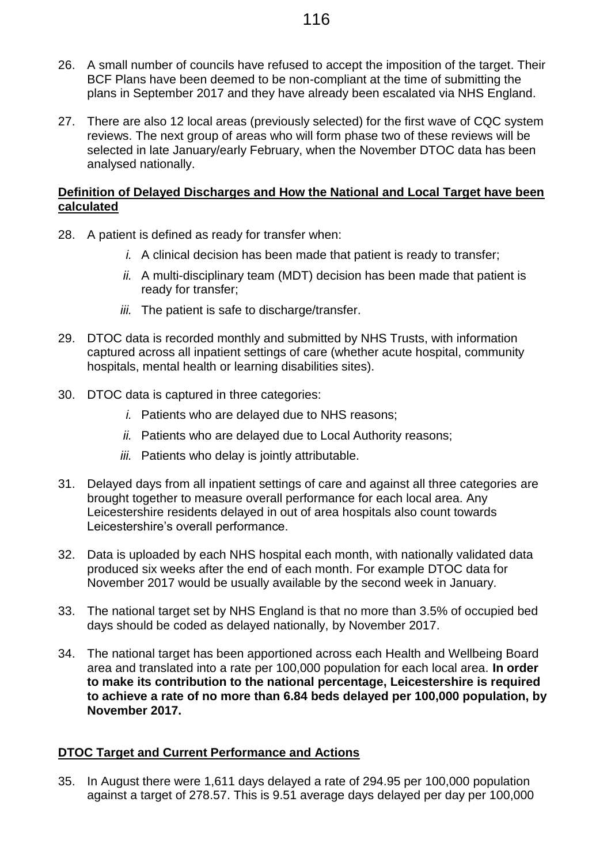- 26. A small number of councils have refused to accept the imposition of the target. Their BCF Plans have been deemed to be non-compliant at the time of submitting the plans in September 2017 and they have already been escalated via NHS England.
- 27. There are also 12 local areas (previously selected) for the first wave of CQC system reviews. The next group of areas who will form phase two of these reviews will be selected in late January/early February, when the November DTOC data has been analysed nationally.

#### **Definition of Delayed Discharges and How the National and Local Target have been calculated**

- 28. A patient is defined as ready for transfer when:
	- *i.* A clinical decision has been made that patient is ready to transfer;
	- *ii.* A multi-disciplinary team (MDT) decision has been made that patient is ready for transfer;
	- *iii.* The patient is safe to discharge/transfer.
- 29. DTOC data is recorded monthly and submitted by NHS Trusts, with information captured across all inpatient settings of care (whether acute hospital, community hospitals, mental health or learning disabilities sites).
- 30. DTOC data is captured in three categories:
	- *i.* Patients who are delayed due to NHS reasons;
	- *ii.* Patients who are delayed due to Local Authority reasons;
	- *iii.* Patients who delay is jointly attributable.
- 31. Delayed days from all inpatient settings of care and against all three categories are brought together to measure overall performance for each local area. Any Leicestershire residents delayed in out of area hospitals also count towards Leicestershire's overall performance.
- 32. Data is uploaded by each NHS hospital each month, with nationally validated data produced six weeks after the end of each month. For example DTOC data for November 2017 would be usually available by the second week in January.
- 33. The national target set by NHS England is that no more than 3.5% of occupied bed days should be coded as delayed nationally, by November 2017.
- 34. The national target has been apportioned across each Health and Wellbeing Board area and translated into a rate per 100,000 population for each local area. **In order to make its contribution to the national percentage, Leicestershire is required to achieve a rate of no more than 6.84 beds delayed per 100,000 population, by November 2017.**

#### **DTOC Target and Current Performance and Actions**

35. In August there were 1,611 days delayed a rate of 294.95 per 100,000 population against a target of 278.57. This is 9.51 average days delayed per day per 100,000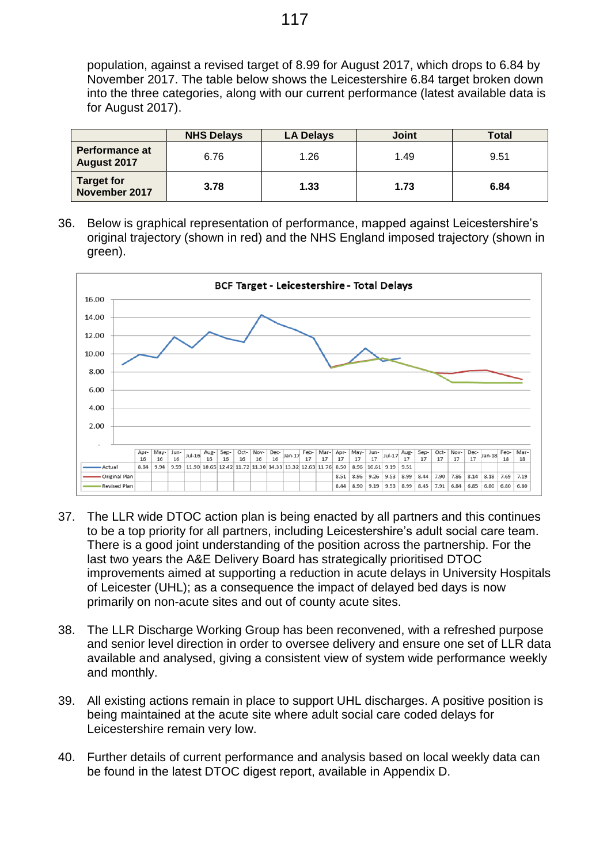population, against a revised target of 8.99 for August 2017, which drops to 6.84 by November 2017. The table below shows the Leicestershire 6.84 target broken down into the three categories, along with our current performance (latest available data is for August 2017).

|                                      | <b>NHS Delays</b> | <b>LA Delays</b> | <b>Joint</b> | <b>Total</b> |
|--------------------------------------|-------------------|------------------|--------------|--------------|
| <b>Performance at</b><br>August 2017 | 6.76              | 1.26             | 1.49         | 9.51         |
| Target for<br>November 2017          | 3.78              | 1.33             | 1.73         | 6.84         |

36. Below is graphical representation of performance, mapped against Leicestershire's original trajectory (shown in red) and the NHS England imposed trajectory (shown in green).



- 37. The LLR wide DTOC action plan is being enacted by all partners and this continues to be a top priority for all partners, including Leicestershire's adult social care team. There is a good joint understanding of the position across the partnership. For the last two years the A&E Delivery Board has strategically prioritised DTOC improvements aimed at supporting a reduction in acute delays in University Hospitals of Leicester (UHL); as a consequence the impact of delayed bed days is now primarily on non-acute sites and out of county acute sites.
- 38. The LLR Discharge Working Group has been reconvened, with a refreshed purpose and senior level direction in order to oversee delivery and ensure one set of LLR data available and analysed, giving a consistent view of system wide performance weekly and monthly.
- 39. All existing actions remain in place to support UHL discharges. A positive position is being maintained at the acute site where adult social care coded delays for Leicestershire remain very low.
- 40. Further details of current performance and analysis based on local weekly data can be found in the latest DTOC digest report, available in Appendix D.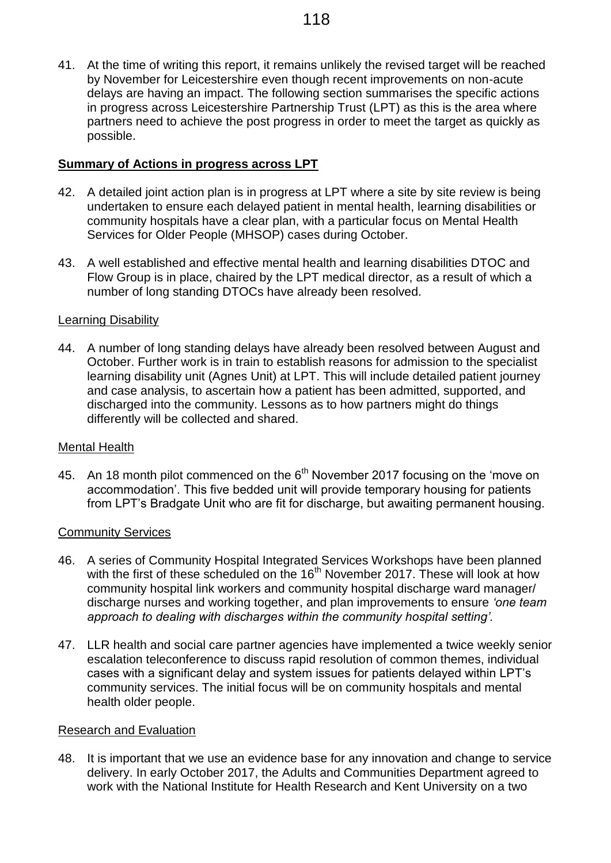41. At the time of writing this report, it remains unlikely the revised target will be reached by November for Leicestershire even though recent improvements on non-acute delays are having an impact. The following section summarises the specific actions in progress across Leicestershire Partnership Trust (LPT) as this is the area where partners need to achieve the post progress in order to meet the target as quickly as possible.

#### **Summary of Actions in progress across LPT**

- 42. A detailed joint action plan is in progress at LPT where a site by site review is being undertaken to ensure each delayed patient in mental health, learning disabilities or community hospitals have a clear plan, with a particular focus on Mental Health Services for Older People (MHSOP) cases during October.
- 43. A well established and effective mental health and learning disabilities DTOC and Flow Group is in place, chaired by the LPT medical director, as a result of which a number of long standing DTOCs have already been resolved.

#### Learning Disability

44. A number of long standing delays have already been resolved between August and October. Further work is in train to establish reasons for admission to the specialist learning disability unit (Agnes Unit) at LPT. This will include detailed patient journey and case analysis, to ascertain how a patient has been admitted, supported, and discharged into the community. Lessons as to how partners might do things differently will be collected and shared.

#### Mental Health

45. An 18 month pilot commenced on the 6<sup>th</sup> November 2017 focusing on the 'move on accommodation'. This five bedded unit will provide temporary housing for patients from LPT's Bradgate Unit who are fit for discharge, but awaiting permanent housing.

#### Community Services

- 46. A series of Community Hospital Integrated Services Workshops have been planned with the first of these scheduled on the  $16<sup>th</sup>$  November 2017. These will look at how community hospital link workers and community hospital discharge ward manager/ discharge nurses and working together, and plan improvements to ensure *'one team approach to dealing with discharges within the community hospital setting'.*
- 47. LLR health and social care partner agencies have implemented a twice weekly senior escalation teleconference to discuss rapid resolution of common themes, individual cases with a significant delay and system issues for patients delayed within LPT's community services. The initial focus will be on community hospitals and mental health older people.

#### Research and Evaluation

48. It is important that we use an evidence base for any innovation and change to service delivery. In early October 2017, the Adults and Communities Department agreed to work with the National Institute for Health Research and Kent University on a two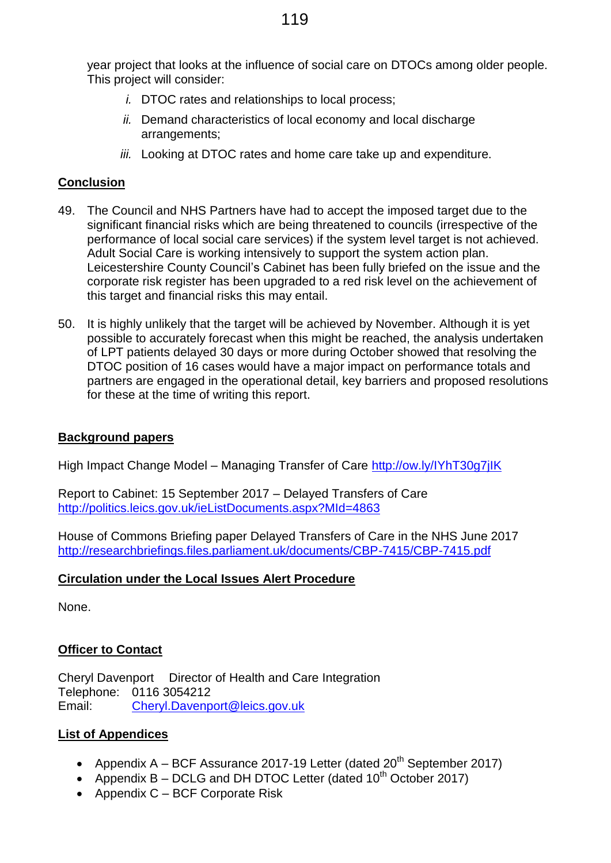year project that looks at the influence of social care on DTOCs among older people. This project will consider:

- *i.* DTOC rates and relationships to local process;
- *ii.* Demand characteristics of local economy and local discharge arrangements;
- *iii.* Looking at DTOC rates and home care take up and expenditure.

#### **Conclusion**

- 49. The Council and NHS Partners have had to accept the imposed target due to the significant financial risks which are being threatened to councils (irrespective of the performance of local social care services) if the system level target is not achieved. Adult Social Care is working intensively to support the system action plan. Leicestershire County Council's Cabinet has been fully briefed on the issue and the corporate risk register has been upgraded to a red risk level on the achievement of this target and financial risks this may entail.
- 50. It is highly unlikely that the target will be achieved by November. Although it is yet possible to accurately forecast when this might be reached, the analysis undertaken of LPT patients delayed 30 days or more during October showed that resolving the DTOC position of 16 cases would have a major impact on performance totals and partners are engaged in the operational detail, key barriers and proposed resolutions for these at the time of writing this report.

#### **Background papers**

High Impact Change Model – Managing Transfer of Care<http://ow.ly/IYhT30g7jIK>

Report to Cabinet: 15 September 2017 – Delayed Transfers of Care <http://politics.leics.gov.uk/ieListDocuments.aspx?MId=4863>

House of Commons Briefing paper Delayed Transfers of Care in the NHS June 2017 <http://researchbriefings.files.parliament.uk/documents/CBP-7415/CBP-7415.pdf>

#### **Circulation under the Local Issues Alert Procedure**

None.

### **Officer to Contact**

Cheryl Davenport Director of Health and Care Integration Telephone: 0116 3054212 Email: [Cheryl.Davenport@leics.gov.uk](mailto:Cheryl.Davenport@leics.gov.uk)

### **List of Appendices**

- Appendix  $A BCF$  Assurance 2017-19 Letter (dated  $20<sup>th</sup>$  September 2017)
- Appendix  $B DCLG$  and DH DTOC Letter (dated 10<sup>th</sup> October 2017)
- Appendix C BCF Corporate Risk